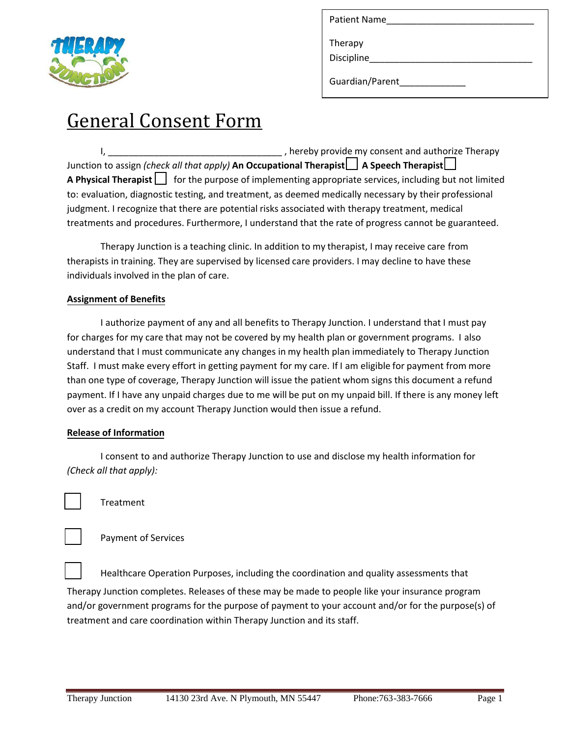

| <b>Patient Name</b>           |  |  |
|-------------------------------|--|--|
| Therapy                       |  |  |
| Discipline<br>Guardian/Parent |  |  |

# General Consent Form

I, \_\_\_\_\_\_\_\_\_\_\_\_\_\_\_\_\_\_\_\_\_\_\_\_\_\_\_\_\_\_\_\_\_\_ , hereby provide my consent and authorize Therapy Junction to assign *(check all that apply)* An Occupational Therapist **A** Speech Therapist  $\Box$ **A Physical Therapist** for the purpose of implementing appropriate services, including but not limited to: evaluation, diagnostic testing, and treatment, as deemed medically necessary by their professional judgment. I recognize that there are potential risks associated with therapy treatment, medical treatments and procedures. Furthermore, I understand that the rate of progress cannot be guaranteed.

Therapy Junction is a teaching clinic. In addition to my therapist, I may receive care from therapists in training. They are supervised by licensed care providers. I may decline to have these individuals involved in the plan of care.

## **Assignment of Benefits**

I authorize payment of any and all benefits to Therapy Junction. I understand that I must pay for charges for my care that may not be covered by my health plan or government programs. I also understand that I must communicate any changes in my health plan immediately to Therapy Junction Staff. I must make every effort in getting payment for my care. If I am eligible for payment from more than one type of coverage, Therapy Junction will issue the patient whom signs this document a refund payment. If I have any unpaid charges due to me will be put on my unpaid bill. If there is any money left over as a credit on my account Therapy Junction would then issue a refund.

### **Release of Information**

I consent to and authorize Therapy Junction to use and disclose my health information for *(Check all that apply):* 

**Treatment** 

Payment of Services

Healthcare Operation Purposes, including the coordination and quality assessments that

Therapy Junction completes. Releases of these may be made to people like your insurance program and/or government programs for the purpose of payment to your account and/or for the purpose(s) of treatment and care coordination within Therapy Junction and its staff.